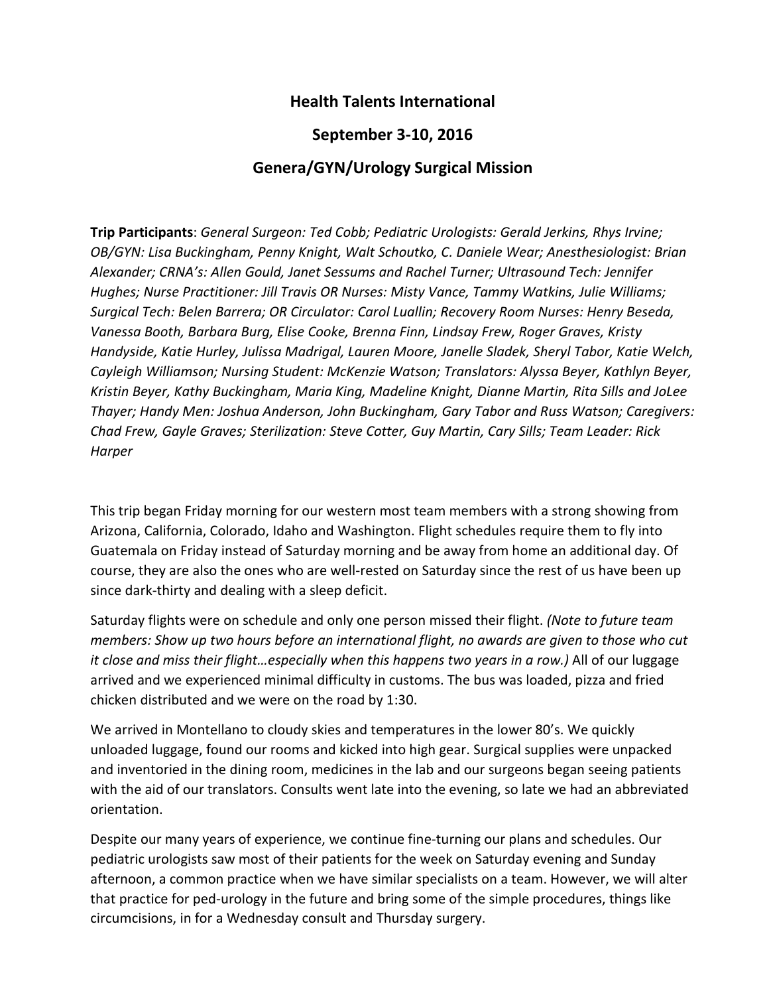## **Health Talents International**

## **September 3-10, 2016**

## **Genera/GYN/Urology Surgical Mission**

**Trip Participants**: *General Surgeon: Ted Cobb; Pediatric Urologists: Gerald Jerkins, Rhys Irvine; OB/GYN: Lisa Buckingham, Penny Knight, Walt Schoutko, C. Daniele Wear; Anesthesiologist: Brian Alexander; CRNA's: Allen Gould, Janet Sessums and Rachel Turner; Ultrasound Tech: Jennifer Hughes; Nurse Practitioner: Jill Travis OR Nurses: Misty Vance, Tammy Watkins, Julie Williams; Surgical Tech: Belen Barrera; OR Circulator: Carol Luallin; Recovery Room Nurses: Henry Beseda, Vanessa Booth, Barbara Burg, Elise Cooke, Brenna Finn, Lindsay Frew, Roger Graves, Kristy Handyside, Katie Hurley, Julissa Madrigal, Lauren Moore, Janelle Sladek, Sheryl Tabor, Katie Welch, Cayleigh Williamson; Nursing Student: McKenzie Watson; Translators: Alyssa Beyer, Kathlyn Beyer, Kristin Beyer, Kathy Buckingham, Maria King, Madeline Knight, Dianne Martin, Rita Sills and JoLee Thayer; Handy Men: Joshua Anderson, John Buckingham, Gary Tabor and Russ Watson; Caregivers: Chad Frew, Gayle Graves; Sterilization: Steve Cotter, Guy Martin, Cary Sills; Team Leader: Rick Harper*

This trip began Friday morning for our western most team members with a strong showing from Arizona, California, Colorado, Idaho and Washington. Flight schedules require them to fly into Guatemala on Friday instead of Saturday morning and be away from home an additional day. Of course, they are also the ones who are well-rested on Saturday since the rest of us have been up since dark-thirty and dealing with a sleep deficit.

Saturday flights were on schedule and only one person missed their flight. *(Note to future team members: Show up two hours before an international flight, no awards are given to those who cut it close and miss their flight…especially when this happens two years in a row.)* All of our luggage arrived and we experienced minimal difficulty in customs. The bus was loaded, pizza and fried chicken distributed and we were on the road by 1:30.

We arrived in Montellano to cloudy skies and temperatures in the lower 80's. We quickly unloaded luggage, found our rooms and kicked into high gear. Surgical supplies were unpacked and inventoried in the dining room, medicines in the lab and our surgeons began seeing patients with the aid of our translators. Consults went late into the evening, so late we had an abbreviated orientation.

Despite our many years of experience, we continue fine-turning our plans and schedules. Our pediatric urologists saw most of their patients for the week on Saturday evening and Sunday afternoon, a common practice when we have similar specialists on a team. However, we will alter that practice for ped-urology in the future and bring some of the simple procedures, things like circumcisions, in for a Wednesday consult and Thursday surgery.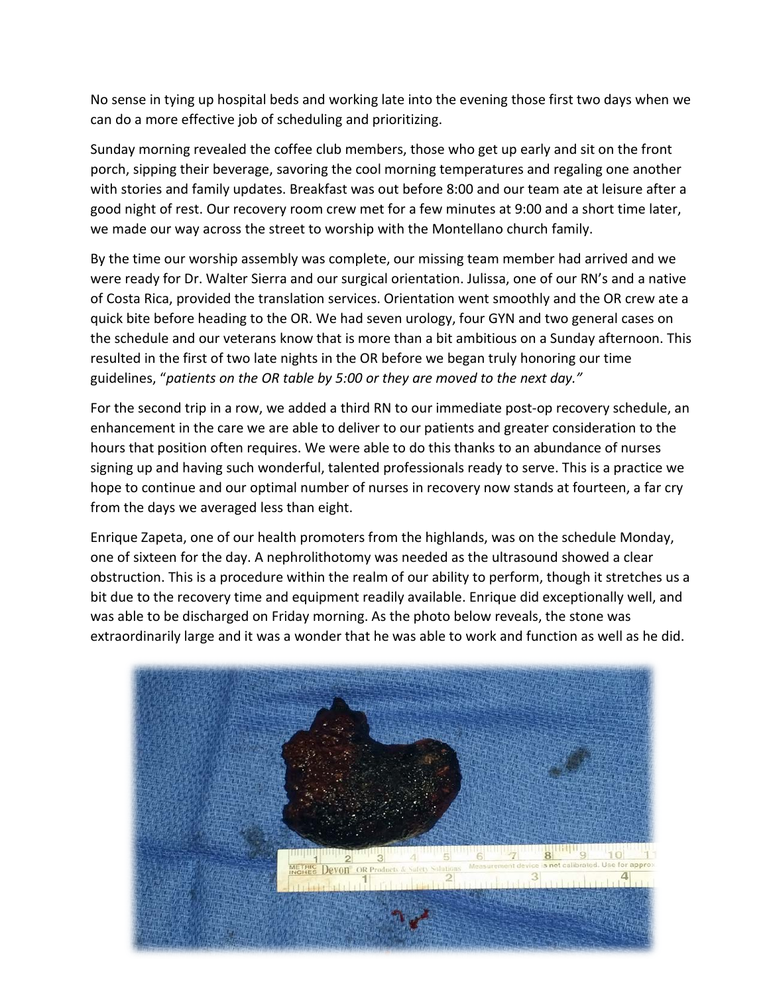No sense in tying up hospital beds and working late into the evening those first two days when we can do a more effective job of scheduling and prioritizing.

Sunday morning revealed the coffee club members, those who get up early and sit on the front porch, sipping their beverage, savoring the cool morning temperatures and regaling one another with stories and family updates. Breakfast was out before 8:00 and our team ate at leisure after a good night of rest. Our recovery room crew met for a few minutes at 9:00 and a short time later, we made our way across the street to worship with the Montellano church family.

By the time our worship assembly was complete, our missing team member had arrived and we were ready for Dr. Walter Sierra and our surgical orientation. Julissa, one of our RN's and a native of Costa Rica, provided the translation services. Orientation went smoothly and the OR crew ate a quick bite before heading to the OR. We had seven urology, four GYN and two general cases on the schedule and our veterans know that is more than a bit ambitious on a Sunday afternoon. This resulted in the first of two late nights in the OR before we began truly honoring our time guidelines, "*patients on the OR table by 5:00 or they are moved to the next day."*

For the second trip in a row, we added a third RN to our immediate post-op recovery schedule, an enhancement in the care we are able to deliver to our patients and greater consideration to the hours that position often requires. We were able to do this thanks to an abundance of nurses signing up and having such wonderful, talented professionals ready to serve. This is a practice we hope to continue and our optimal number of nurses in recovery now stands at fourteen, a far cry from the days we averaged less than eight.

Enrique Zapeta, one of our health promoters from the highlands, was on the schedule Monday, one of sixteen for the day. A nephrolithotomy was needed as the ultrasound showed a clear obstruction. This is a procedure within the realm of our ability to perform, though it stretches us a bit due to the recovery time and equipment readily available. Enrique did exceptionally well, and was able to be discharged on Friday morning. As the photo below reveals, the stone was extraordinarily large and it was a wonder that he was able to work and function as well as he did.

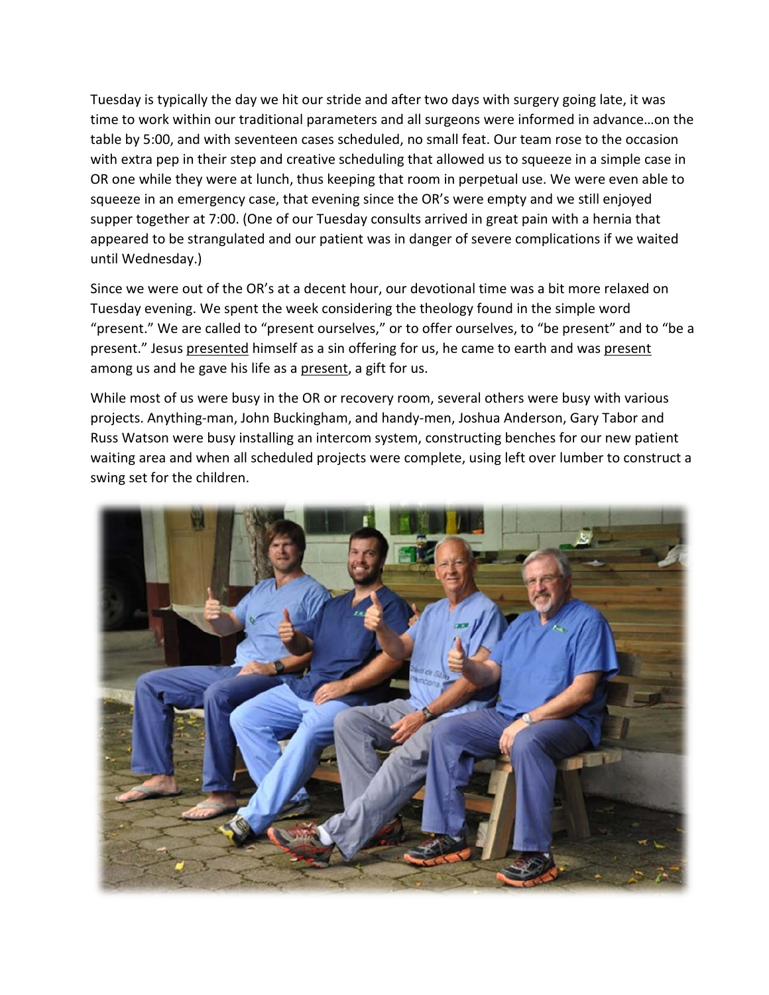Tuesday is typically the day we hit our stride and after two days with surgery going late, it was time to work within our traditional parameters and all surgeons were informed in advance…on the table by 5:00, and with seventeen cases scheduled, no small feat. Our team rose to the occasion with extra pep in their step and creative scheduling that allowed us to squeeze in a simple case in OR one while they were at lunch, thus keeping that room in perpetual use. We were even able to squeeze in an emergency case, that evening since the OR's were empty and we still enjoyed supper together at 7:00. (One of our Tuesday consults arrived in great pain with a hernia that appeared to be strangulated and our patient was in danger of severe complications if we waited until Wednesday.)

Since we were out of the OR's at a decent hour, our devotional time was a bit more relaxed on Tuesday evening. We spent the week considering the theology found in the simple word "present." We are called to "present ourselves," or to offer ourselves, to "be present" and to "be a present." Jesus presented himself as a sin offering for us, he came to earth and was present among us and he gave his life as a present, a gift for us.

While most of us were busy in the OR or recovery room, several others were busy with various projects. Anything-man, John Buckingham, and handy-men, Joshua Anderson, Gary Tabor and Russ Watson were busy installing an intercom system, constructing benches for our new patient waiting area and when all scheduled projects were complete, using left over lumber to construct a swing set for the children.

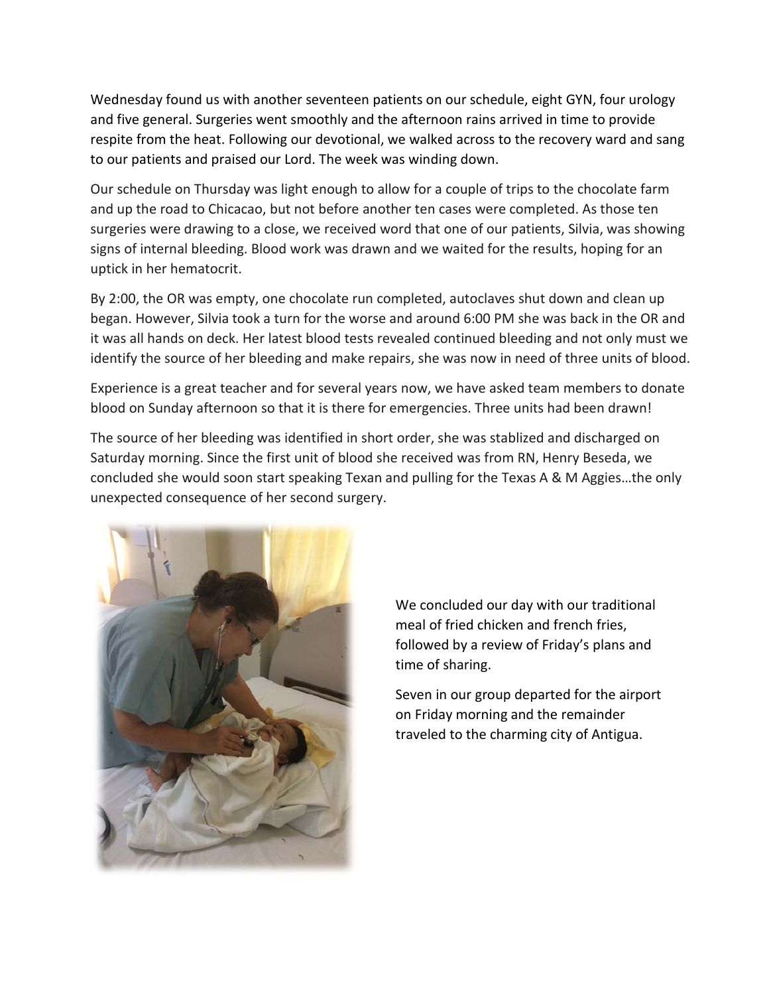Wednesday found us with another seventeen patients on our schedule, eight GYN, four urology and five general. Surgeries went smoothly and the afternoon rains arrived in time to provide respite from the heat. Following our devotional, we walked across to the recovery ward and sang to our patients and praised our Lord. The week was winding down.

Our schedule on Thursday was light enough to allow for a couple of trips to the chocolate farm and up the road to Chicacao, but not before another ten cases were completed. As those ten surgeries were drawing to a close, we received word that one of our patients, Silvia, was showing signs of internal bleeding. Blood work was drawn and we waited for the results, hoping for an uptick in her hematocrit.

By 2:00, the OR was empty, one chocolate run completed, autoclaves shut down and clean up began. However, Silvia took a turn for the worse and around 6:00 PM she was back in the OR and it was all hands on deck. Her latest blood tests revealed continued bleeding and not only must we identify the source of her bleeding and make repairs, she was now in need of three units of blood.

Experience is a great teacher and for several years now, we have asked team members to donate blood on Sunday afternoon so that it is there for emergencies. Three units had been drawn!

The source of her bleeding was identified in short order, she was stablized and discharged on Saturday morning. Since the first unit of blood she received was from RN, Henry Beseda, we concluded she would soon start speaking Texan and pulling for the Texas A & M Aggies…the only unexpected consequence of her second surgery.



We concluded our day with our traditional meal of fried chicken and french fries, followed by a review of Friday's plans and time of sharing.

Seven in our group departed for the airport on Friday morning and the remainder traveled to the charming city of Antigua.